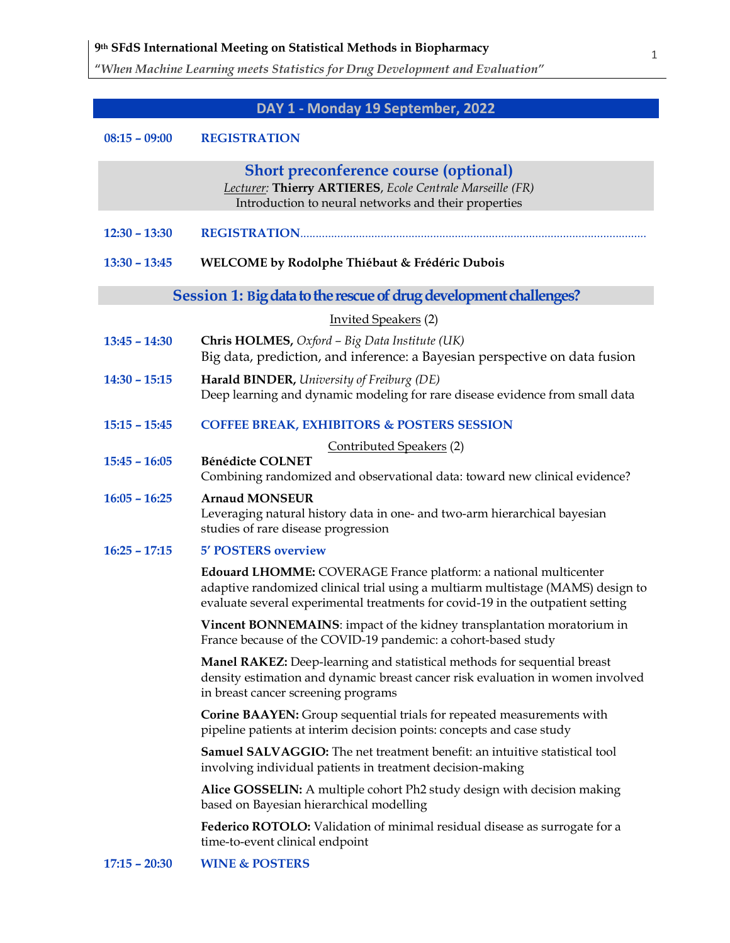"When Machine Learning meets Statistics for Drug Development and Evaluation"

# DAY 1 - Monday 19 September, 2022

#### 08:15 – 09:00 REGISTRATION

|                                                                   | <b>Short preconference course (optional)</b><br>Lecturer: Thierry ARTIERES, Ecole Centrale Marseille (FR)<br>Introduction to neural networks and their properties                                                                      |  |  |  |
|-------------------------------------------------------------------|----------------------------------------------------------------------------------------------------------------------------------------------------------------------------------------------------------------------------------------|--|--|--|
| $12:30 - 13:30$                                                   |                                                                                                                                                                                                                                        |  |  |  |
| $13:30 - 13:45$                                                   | WELCOME by Rodolphe Thiébaut & Frédéric Dubois                                                                                                                                                                                         |  |  |  |
| Session 1: Big data to the rescue of drug development challenges? |                                                                                                                                                                                                                                        |  |  |  |
|                                                                   | <b>Invited Speakers</b> (2)                                                                                                                                                                                                            |  |  |  |
| $13:45 - 14:30$                                                   | Chris HOLMES, Oxford - Big Data Institute (UK)<br>Big data, prediction, and inference: a Bayesian perspective on data fusion                                                                                                           |  |  |  |
| $14:30 - 15:15$                                                   | Harald BINDER, University of Freiburg (DE)<br>Deep learning and dynamic modeling for rare disease evidence from small data                                                                                                             |  |  |  |
| $15:15 - 15:45$                                                   | <b>COFFEE BREAK, EXHIBITORS &amp; POSTERS SESSION</b>                                                                                                                                                                                  |  |  |  |
|                                                                   | Contributed Speakers (2)                                                                                                                                                                                                               |  |  |  |
| $15:45 - 16:05$                                                   | <b>Bénédicte COLNET</b><br>Combining randomized and observational data: toward new clinical evidence?                                                                                                                                  |  |  |  |
| $16:05 - 16:25$                                                   | <b>Arnaud MONSEUR</b><br>Leveraging natural history data in one- and two-arm hierarchical bayesian<br>studies of rare disease progression                                                                                              |  |  |  |
| $16:25 - 17:15$                                                   | <b>5' POSTERS overview</b>                                                                                                                                                                                                             |  |  |  |
|                                                                   | Edouard LHOMME: COVERAGE France platform: a national multicenter<br>adaptive randomized clinical trial using a multiarm multistage (MAMS) design to<br>evaluate several experimental treatments for covid-19 in the outpatient setting |  |  |  |
|                                                                   | Vincent BONNEMAINS: impact of the kidney transplantation moratorium in<br>France because of the COVID-19 pandemic: a cohort-based study                                                                                                |  |  |  |
|                                                                   | Manel RAKEZ: Deep-learning and statistical methods for sequential breast<br>density estimation and dynamic breast cancer risk evaluation in women involved<br>in breast cancer screening programs                                      |  |  |  |
|                                                                   | Corine BAAYEN: Group sequential trials for repeated measurements with<br>pipeline patients at interim decision points: concepts and case study                                                                                         |  |  |  |
|                                                                   | <b>Samuel SALVAGGIO:</b> The net treatment benefit: an intuitive statistical tool<br>involving individual patients in treatment decision-making                                                                                        |  |  |  |
|                                                                   | Alice GOSSELIN: A multiple cohort Ph2 study design with decision making<br>based on Bayesian hierarchical modelling                                                                                                                    |  |  |  |
|                                                                   | Federico ROTOLO: Validation of minimal residual disease as surrogate for a<br>time-to-event clinical endpoint                                                                                                                          |  |  |  |
|                                                                   |                                                                                                                                                                                                                                        |  |  |  |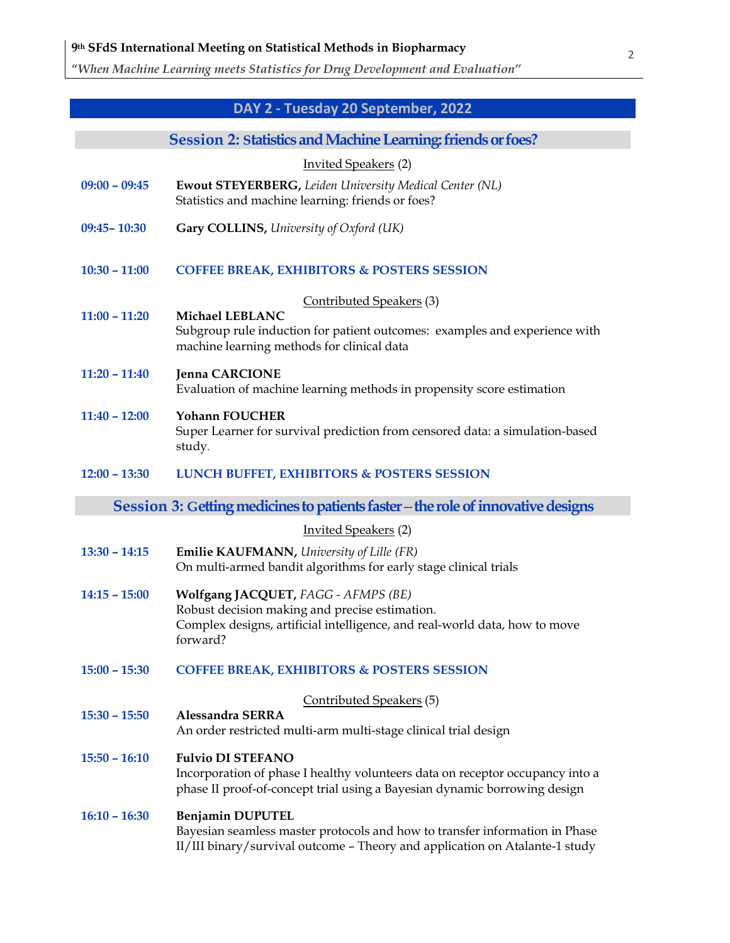"When Machine Learning meets Statistics for Drug Development and Evaluation"

# DAY 2 - Tuesday 20 September, 2022

| Session 2: Statistics and Machine Learning: friends or foes? |  |  |
|--------------------------------------------------------------|--|--|
|                                                              |  |  |

|                 | $\blacksquare$ , o muodo mon i modelino estati iligi modelino ol 10                                                                                                                    |
|-----------------|----------------------------------------------------------------------------------------------------------------------------------------------------------------------------------------|
|                 | <b>Invited Speakers (2)</b>                                                                                                                                                            |
| $09:00 - 09:45$ | <b>Ewout STEYERBERG, Leiden University Medical Center (NL)</b><br>Statistics and machine learning: friends or foes?                                                                    |
| 09:45-10:30     | Gary COLLINS, University of Oxford (UK)                                                                                                                                                |
| $10:30 - 11:00$ | <b>COFFEE BREAK, EXHIBITORS &amp; POSTERS SESSION</b>                                                                                                                                  |
|                 | Contributed Speakers (3)                                                                                                                                                               |
| $11:00 - 11:20$ | Michael LEBLANC<br>Subgroup rule induction for patient outcomes: examples and experience with<br>machine learning methods for clinical data                                            |
| $11:20 - 11:40$ | <b>Jenna CARCIONE</b><br>Evaluation of machine learning methods in propensity score estimation                                                                                         |
| $11:40 - 12:00$ | <b>Yohann FOUCHER</b><br>Super Learner for survival prediction from censored data: a simulation-based<br>study.                                                                        |
| $12:00 - 13:30$ | <b>LUNCH BUFFET, EXHIBITORS &amp; POSTERS SESSION</b>                                                                                                                                  |
|                 | Session 3: Getting medicines to patients faster – the role of innovative designs                                                                                                       |
|                 | <b>Invited Speakers</b> (2)                                                                                                                                                            |
| $13:30 - 14:15$ | <b>Emilie KAUFMANN, University of Lille (FR)</b><br>On multi-armed bandit algorithms for early stage clinical trials                                                                   |
| $14:15 - 15:00$ | Wolfgang JACQUET, FAGG - AFMPS (BE)<br>Robust decision making and precise estimation.<br>Complex designs, artificial intelligence, and real-world data, how to move<br>forward?        |
| $15:00 - 15:30$ | <b>COFFEE BREAK, EXHIBITORS &amp; POSTERS SESSION</b>                                                                                                                                  |
|                 | Contributed Speakers (5)                                                                                                                                                               |
| $15:30 - 15:50$ | <b>Alessandra SERRA</b><br>An order restricted multi-arm multi-stage clinical trial design                                                                                             |
| $15:50 - 16:10$ | <b>Fulvio DI STEFANO</b><br>Incorporation of phase I healthy volunteers data on receptor occupancy into a<br>phase II proof-of-concept trial using a Bayesian dynamic borrowing design |
| $16:10 - 16:30$ | Benjamin DUPUTEL<br>Bayesian seamless master protocols and how to transfer information in Phase<br>II/III binary/survival outcome - Theory and application on Atalante-1 study         |